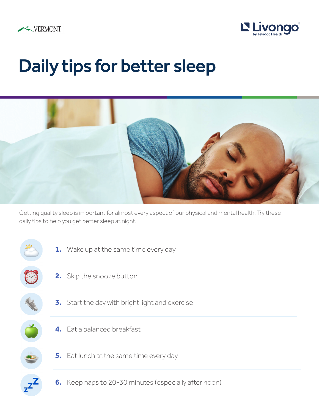



## Daily tips for better sleep



Getting quality sleep is important for almost every aspect of our physical and mental health. Try these daily tips to help you get better sleep at night.